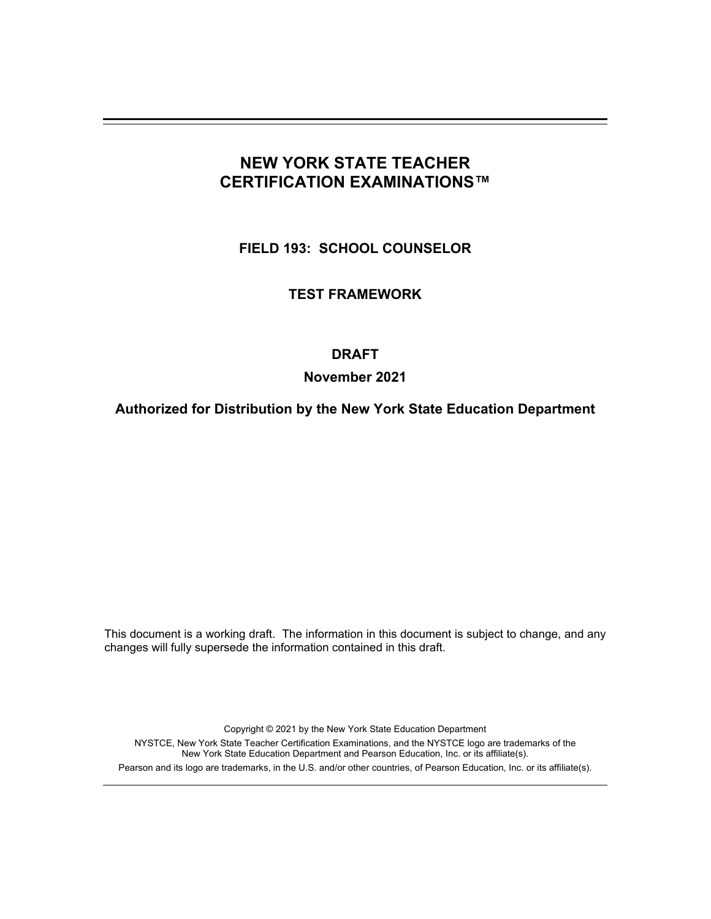# **NEW YORK STATE TEACHER CERTIFICATION EXAMINATIONS™**

**FIELD 193: SCHOOL COUNSELOR** 

**TEST FRAMEWORK** 

## **DRAFT**

## **November 2021**

**Authorized for Distribution by the New York State Education Department** 

This document is a working draft. The information in this document is subject to change, and any changes will fully supersede the information contained in this draft.

Copyright © 2021 by the New York State Education Department

NYSTCE, New York State Teacher Certification Examinations, and the NYSTCE logo are trademarks of the New York State Education Department and Pearson Education, Inc. or its affiliate(s). Pearson and its logo are trademarks, in the U.S. and/or other countries, of Pearson Education, Inc. or its affiliate(s).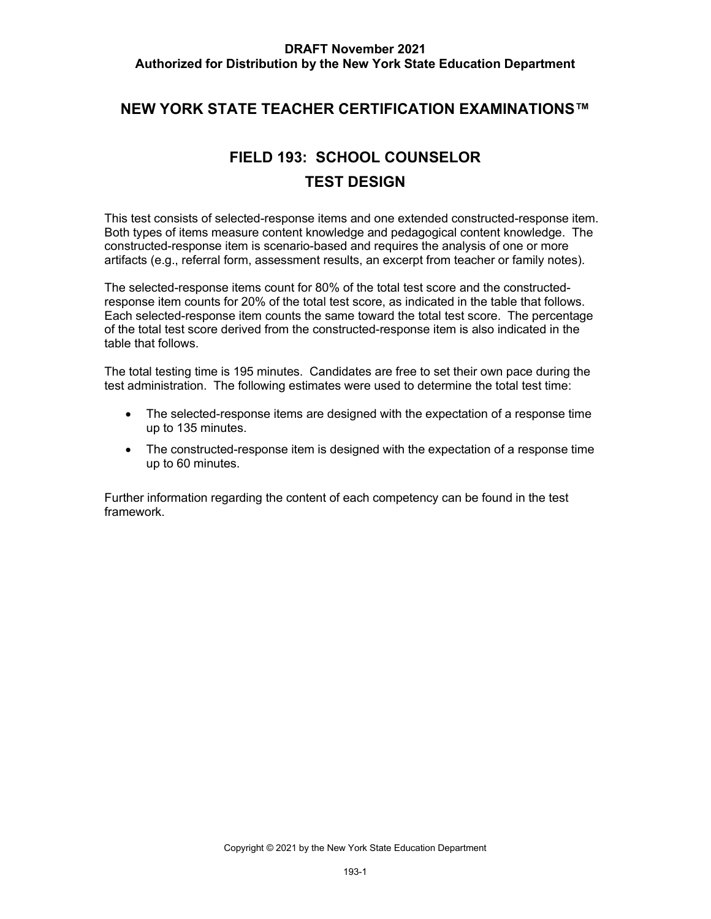# **NEW YORK STATE TEACHER CERTIFICATION EXAMINATIONS™**

# **FIELD 193: SCHOOL COUNSELOR TEST DESIGN**

 This test consists of selected-response items and one extended constructed-response item. Both types of items measure content knowledge and pedagogical content knowledge. The constructed-response item is scenario-based and requires the analysis of one or more artifacts (e.g., referral form, assessment results, an excerpt from teacher or family notes).

 The selected-response items count for 80% of the total test score and the constructed- response item counts for 20% of the total test score, as indicated in the table that follows. Each selected-response item counts the same toward the total test score. The percentage table that follows. of the total test score derived from the constructed-response item is also indicated in the

 The total testing time is 195 minutes. Candidates are free to set their own pace during the test administration. The following estimates were used to determine the total test time:

- The selected-response items are designed with the expectation of a response time up to 135 minutes.
- The constructed-response item is designed with the expectation of a response time up to 60 minutes.

 Further information regarding the content of each competency can be found in the test framework.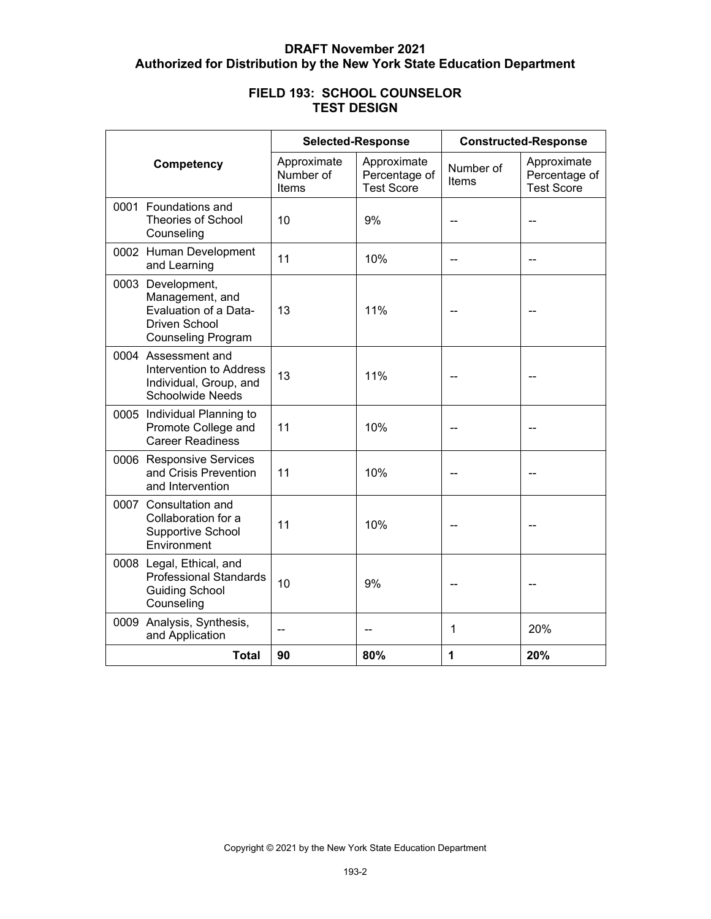| <b>FIELD 193: SCHOOL COUNSELOR</b> |
|------------------------------------|
| <b>TEST DESIGN</b>                 |

|                                                                                                                    | <b>Selected-Response</b>          |                                                   | <b>Constructed-Response</b> |                                                   |
|--------------------------------------------------------------------------------------------------------------------|-----------------------------------|---------------------------------------------------|-----------------------------|---------------------------------------------------|
| Competency                                                                                                         | Approximate<br>Number of<br>Items | Approximate<br>Percentage of<br><b>Test Score</b> | Number of<br>Items          | Approximate<br>Percentage of<br><b>Test Score</b> |
| 0001 Foundations and<br><b>Theories of School</b><br>Counseling                                                    | 10                                | 9%                                                |                             |                                                   |
| 0002 Human Development<br>and Learning                                                                             | 11                                | 10%                                               |                             |                                                   |
| 0003 Development,<br>Management, and<br>Evaluation of a Data-<br><b>Driven School</b><br><b>Counseling Program</b> | 13                                | 11%                                               |                             |                                                   |
| 0004 Assessment and<br>Intervention to Address<br>Individual, Group, and<br><b>Schoolwide Needs</b>                | 13                                | 11%                                               |                             |                                                   |
| 0005 Individual Planning to<br>Promote College and<br><b>Career Readiness</b>                                      | 11                                | 10%                                               |                             |                                                   |
| 0006 Responsive Services<br>and Crisis Prevention<br>and Intervention                                              | 11                                | 10%                                               |                             |                                                   |
| 0007 Consultation and<br>Collaboration for a<br>Supportive School<br>Environment                                   | 11                                | 10%                                               |                             |                                                   |
| 0008 Legal, Ethical, and<br><b>Professional Standards</b><br><b>Guiding School</b><br>Counseling                   | 10                                | 9%                                                |                             |                                                   |
| 0009 Analysis, Synthesis,<br>and Application                                                                       |                                   |                                                   | 1                           | 20%                                               |
| <b>Total</b>                                                                                                       | 90                                | 80%                                               | 1                           | 20%                                               |

Copyright © 2021 by the New York State Education Department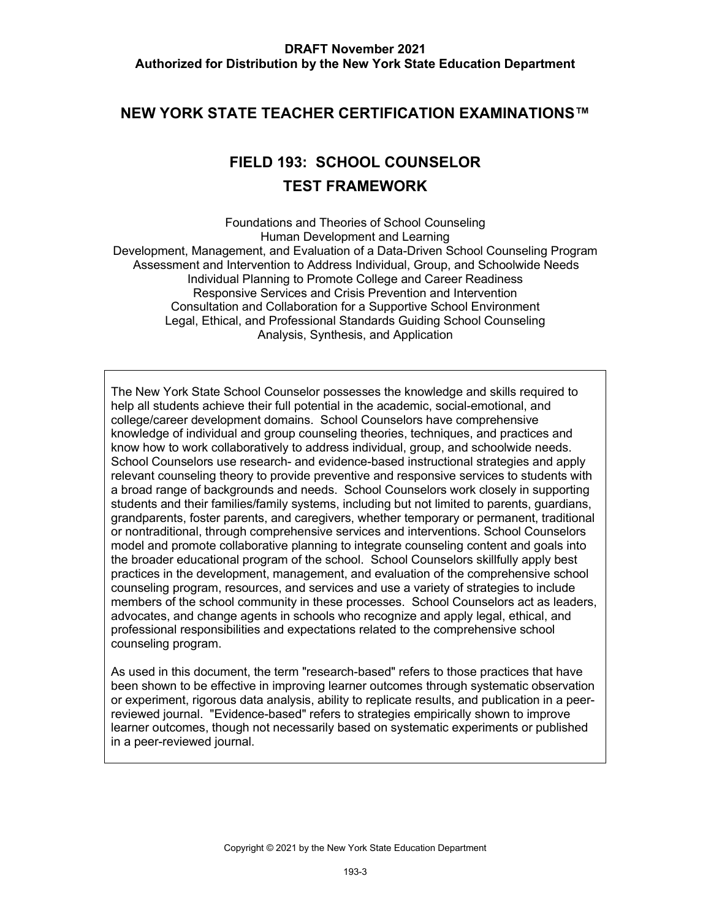# **NEW YORK STATE TEACHER CERTIFICATION EXAMINATIONS™**

# **FIELD 193: SCHOOL COUNSELOR TEST FRAMEWORK**

Foundations and Theories of School Counseling Human Development and Learning Development, Management, and Evaluation of a Data-Driven School Counseling Program Assessment and Intervention to Address Individual, Group, and Schoolwide Needs Individual Planning to Promote College and Career Readiness Responsive Services and Crisis Prevention and Intervention Consultation and Collaboration for a Supportive School Environment Legal, Ethical, and Professional Standards Guiding School Counseling Analysis, Synthesis, and Application

 college/career development domains. School Counselors have comprehensive know how to work collaboratively to address individual, group, and schoolwide needs. a broad range of backgrounds and needs. School Counselors work closely in supporting students and their families/family systems, including but not limited to parents, guardians, the broader educational program of the school. School Counselors skillfully apply best members of the school community in these processes. School Counselors act as leaders, The New York State School Counselor possesses the knowledge and skills required to help all students achieve their full potential in the academic, social-emotional, and knowledge of individual and group counseling theories, techniques, and practices and School Counselors use research- and evidence-based instructional strategies and apply relevant counseling theory to provide preventive and responsive services to students with grandparents, foster parents, and caregivers, whether temporary or permanent, traditional or nontraditional, through comprehensive services and interventions. School Counselors model and promote collaborative planning to integrate counseling content and goals into practices in the development, management, and evaluation of the comprehensive school counseling program, resources, and services and use a variety of strategies to include advocates, and change agents in schools who recognize and apply legal, ethical, and professional responsibilities and expectations related to the comprehensive school counseling program.

 reviewed journal. "Evidence-based" refers to strategies empirically shown to improve learner outcomes, though not necessarily based on systematic experiments or published As used in this document, the term "research-based" refers to those practices that have been shown to be effective in improving learner outcomes through systematic observation or experiment, rigorous data analysis, ability to replicate results, and publication in a peerin a peer-reviewed journal.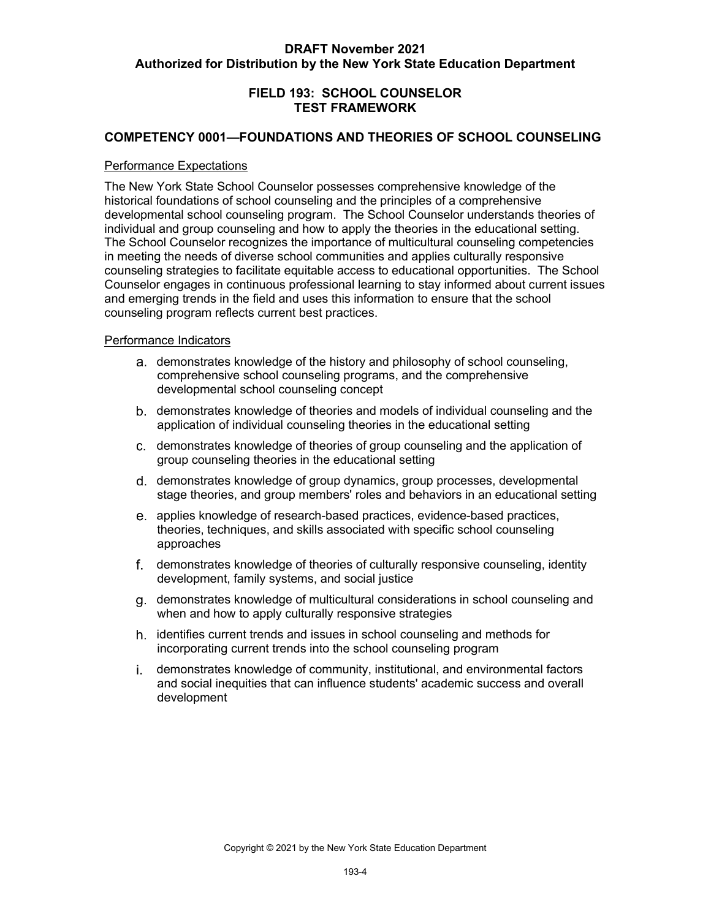## **FIELD 193: SCHOOL COUNSELOR TEST FRAMEWORK**

## **COMPETENCY 0001—FOUNDATIONS AND THEORIES OF SCHOOL COUNSELING**

#### Performance Expectations

 developmental school counseling program. The School Counselor understands theories of individual and group counseling and how to apply the theories in the educational setting. counseling strategies to facilitate equitable access to educational opportunities. The School Counselor engages in continuous professional learning to stay informed about current issues counseling program reflects current best practices. The New York State School Counselor possesses comprehensive knowledge of the historical foundations of school counseling and the principles of a comprehensive The School Counselor recognizes the importance of multicultural counseling competencies in meeting the needs of diverse school communities and applies culturally responsive and emerging trends in the field and uses this information to ensure that the school

- demonstrates knowledge of the history and philosophy of school counseling, comprehensive school counseling programs, and the comprehensive developmental school counseling concept
- demonstrates knowledge of theories and models of individual counseling and the application of individual counseling theories in the educational setting
- demonstrates knowledge of theories of group counseling and the application of group counseling theories in the educational setting
- demonstrates knowledge of group dynamics, group processes, developmental stage theories, and group members' roles and behaviors in an educational setting
- applies knowledge of research-based practices, evidence-based practices, theories, techniques, and skills associated with specific school counseling approaches
- demonstrates knowledge of theories of culturally responsive counseling, identity development, family systems, and social justice
- demonstrates knowledge of multicultural considerations in school counseling and when and how to apply culturally responsive strategies
- identifies current trends and issues in school counseling and methods for incorporating current trends into the school counseling program
- demonstrates knowledge of community, institutional, and environmental factors and social inequities that can influence students' academic success and overall development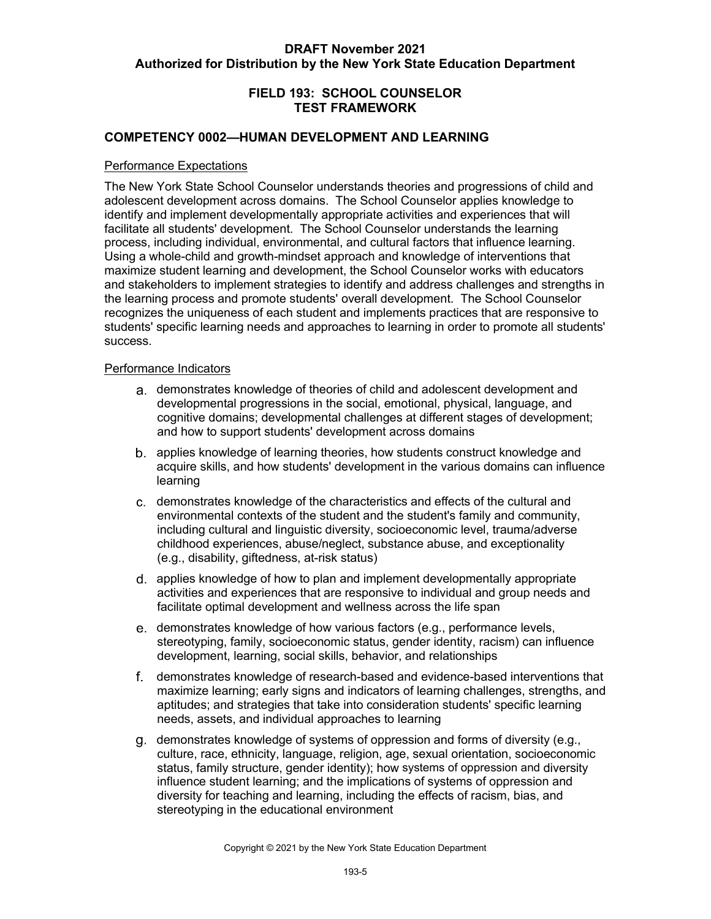## **FIELD 193: SCHOOL COUNSELOR TEST FRAMEWORK**

#### **COMPETENCY 0002—HUMAN DEVELOPMENT AND LEARNING**

#### Performance Expectations

 The New York State School Counselor understands theories and progressions of child and adolescent development across domains. The School Counselor applies knowledge to identify and implement developmentally appropriate activities and experiences that will facilitate all students' development. The School Counselor understands the learning process, including individual, environmental, and cultural factors that influence learning. maximize student learning and development, the School Counselor works with educators and stakeholders to implement strategies to identify and address challenges and strengths in the learning process and promote students' overall development. The School Counselor recognizes the uniqueness of each student and implements practices that are responsive to Using a whole-child and growth-mindset approach and knowledge of interventions that students' specific learning needs and approaches to learning in order to promote all students' success.

- demonstrates knowledge of theories of child and adolescent development and cognitive domains; developmental challenges at different stages of development; developmental progressions in the social, emotional, physical, language, and and how to support students' development across domains
- applies knowledge of learning theories, how students construct knowledge and acquire skills, and how students' development in the various domains can influence learning
- demonstrates knowledge of the characteristics and effects of the cultural and environmental contexts of the student and the student's family and community, (e.g., disability, giftedness, at-risk status) including cultural and linguistic diversity, socioeconomic level, trauma/adverse childhood experiences, abuse/neglect, substance abuse, and exceptionality
- applies knowledge of how to plan and implement developmentally appropriate activities and experiences that are responsive to individual and group needs and facilitate optimal development and wellness across the life span
- demonstrates knowledge of how various factors (e.g., performance levels, development, learning, social skills, behavior, and relationships stereotyping, family, socioeconomic status, gender identity, racism) can influence
- demonstrates knowledge of research-based and evidence-based interventions that maximize learning; early signs and indicators of learning challenges, strengths, and needs, assets, and individual approaches to learning aptitudes; and strategies that take into consideration students' specific learning
- demonstrates knowledge of systems of oppression and forms of diversity (e.g., culture, race, ethnicity, language, religion, age, sexual orientation, socioeconomic status, family structure, gender identity); how systems of oppression and diversity influence student learning; and the implications of systems of oppression and diversity for teaching and learning, including the effects of racism, bias, and stereotyping in the educational environment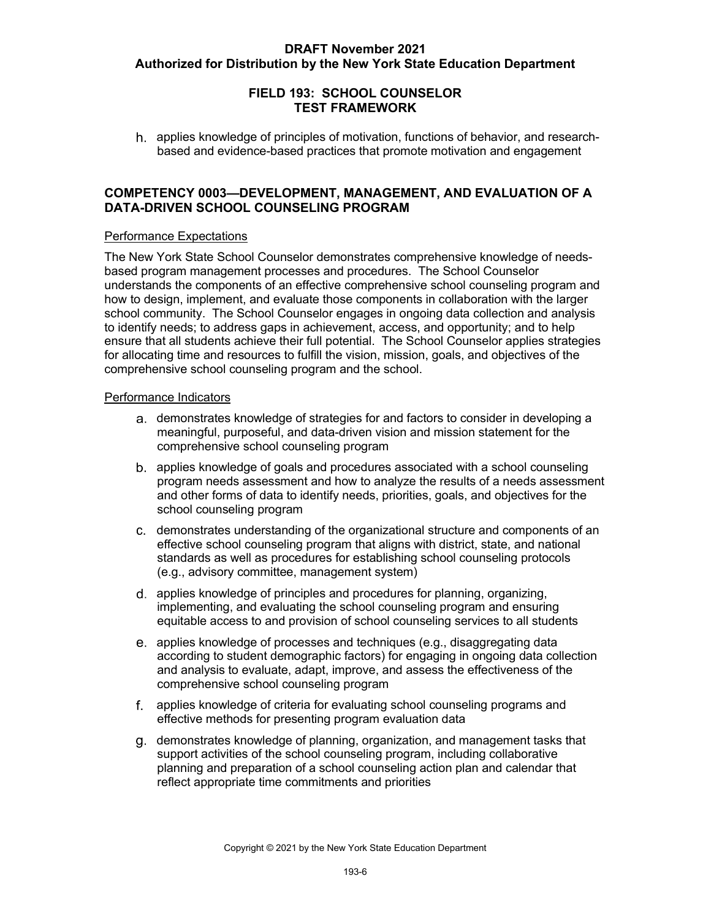## **FIELD 193: SCHOOL COUNSELOR TEST FRAMEWORK**

 applies knowledge of principles of motivation, functions of behavior, and research-based and evidence-based practices that promote motivation and engagement

## **COMPETENCY 0003—DEVELOPMENT, MANAGEMENT, AND EVALUATION OF A DATA-DRIVEN SCHOOL COUNSELING PROGRAM**

#### Performance Expectations

 based program management processes and procedures. The School Counselor how to design, implement, and evaluate those components in collaboration with the larger school community. The School Counselor engages in ongoing data collection and analysis to identify needs; to address gaps in achievement, access, and opportunity; and to help ensure that all students achieve their full potential. The School Counselor applies strategies The New York State School Counselor demonstrates comprehensive knowledge of needsunderstands the components of an effective comprehensive school counseling program and for allocating time and resources to fulfill the vision, mission, goals, and objectives of the comprehensive school counseling program and the school.

- demonstrates knowledge of strategies for and factors to consider in developing a meaningful, purposeful, and data-driven vision and mission statement for the comprehensive school counseling program
- applies knowledge of goals and procedures associated with a school counseling and other forms of data to identify needs, priorities, goals, and objectives for the program needs assessment and how to analyze the results of a needs assessment school counseling program
- effective school counseling program that aligns with district, state, and national (e.g., advisory committee, management system) demonstrates understanding of the organizational structure and components of an standards as well as procedures for establishing school counseling protocols
- applies knowledge of principles and procedures for planning, organizing, equitable access to and provision of school counseling services to all students implementing, and evaluating the school counseling program and ensuring
- and analysis to evaluate, adapt, improve, and assess the effectiveness of the applies knowledge of processes and techniques (e.g., disaggregating data according to student demographic factors) for engaging in ongoing data collection comprehensive school counseling program
- effective methods for presenting program evaluation data applies knowledge of criteria for evaluating school counseling programs and
- demonstrates knowledge of planning, organization, and management tasks that support activities of the school counseling program, including collaborative planning and preparation of a school counseling action plan and calendar that reflect appropriate time commitments and priorities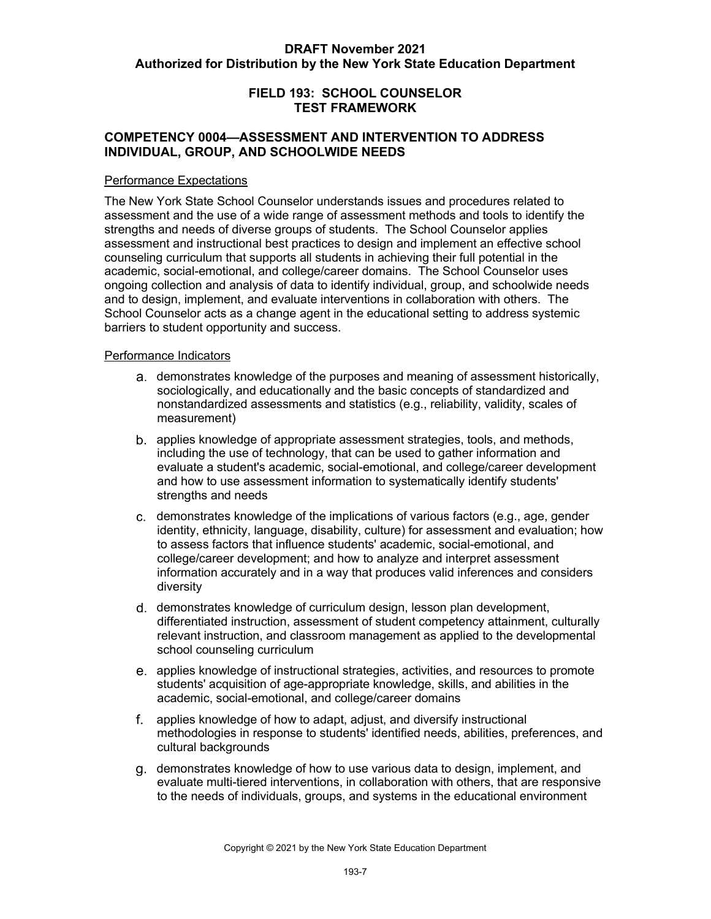#### **FIELD 193: SCHOOL COUNSELOR TEST FRAMEWORK**

#### **COMPETENCY 0004—ASSESSMENT AND INTERVENTION TO ADDRESS INDIVIDUAL, GROUP, AND SCHOOLWIDE NEEDS**

#### Performance Expectations

 strengths and needs of diverse groups of students. The School Counselor applies assessment and instructional best practices to design and implement an effective school counseling curriculum that supports all students in achieving their full potential in the academic, social-emotional, and college/career domains. The School Counselor uses and to design, implement, and evaluate interventions in collaboration with others. The barriers to student opportunity and success. The New York State School Counselor understands issues and procedures related to assessment and the use of a wide range of assessment methods and tools to identify the ongoing collection and analysis of data to identify individual, group, and schoolwide needs School Counselor acts as a change agent in the educational setting to address systemic

- demonstrates knowledge of the purposes and meaning of assessment historically, nonstandardized assessments and statistics (e.g., reliability, validity, scales of sociologically, and educationally and the basic concepts of standardized and measurement)
- applies knowledge of appropriate assessment strategies, tools, and methods, including the use of technology, that can be used to gather information and evaluate a student's academic, social-emotional, and college/career development and how to use assessment information to systematically identify students' strengths and needs
- demonstrates knowledge of the implications of various factors (e.g., age, gender identity, ethnicity, language, disability, culture) for assessment and evaluation; how to assess factors that influence students' academic, social-emotional, and college/career development; and how to analyze and interpret assessment information accurately and in a way that produces valid inferences and considers diversity
- differentiated instruction, assessment of student competency attainment, culturally relevant instruction, and classroom management as applied to the developmental d. demonstrates knowledge of curriculum design, lesson plan development, school counseling curriculum
- applies knowledge of instructional strategies, activities, and resources to promote students' acquisition of age-appropriate knowledge, skills, and abilities in the academic, social-emotional, and college/career domains
- applies knowledge of how to adapt, adjust, and diversify instructional methodologies in response to students' identified needs, abilities, preferences, and cultural backgrounds
- demonstrates knowledge of how to use various data to design, implement, and evaluate multi-tiered interventions, in collaboration with others, that are responsive to the needs of individuals, groups, and systems in the educational environment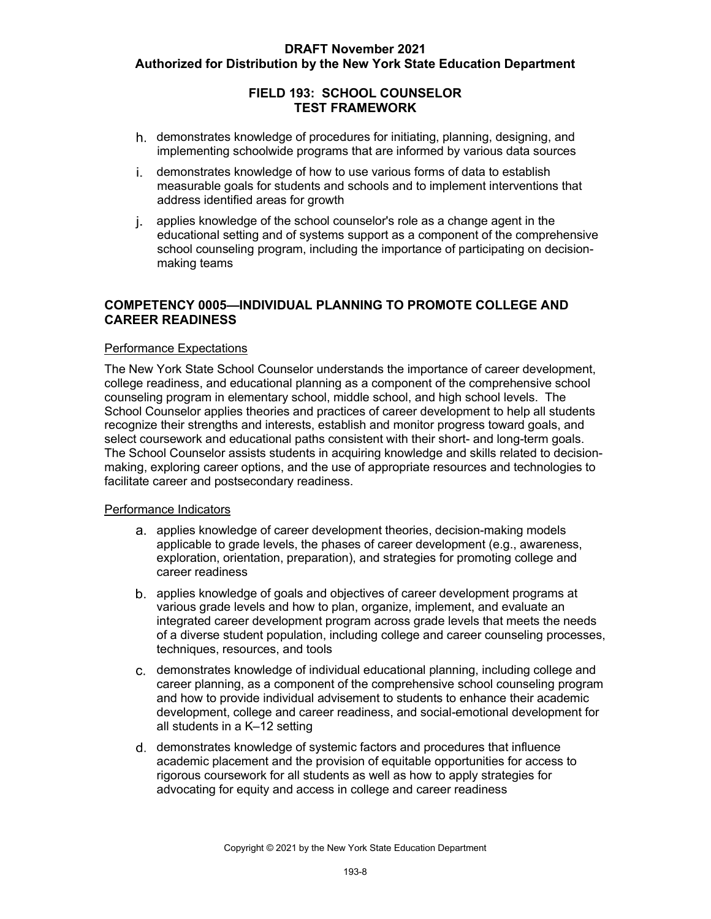## **FIELD 193: SCHOOL COUNSELOR TEST FRAMEWORK**

- implementing schoolwide programs that are informed by various data sources demonstrates knowledge of procedures for initiating, planning, designing, and
- measurable goals for students and schools and to implement interventions that i. demonstrates knowledge of how to use various forms of data to establish address identified areas for growth
- applies knowledge of the school counselor's role as a change agent in the educational setting and of systems support as a component of the comprehensive school counseling program, including the importance of participating on decisionmaking teams

#### **COMPETENCY 0005—INDIVIDUAL PLANNING TO PROMOTE COLLEGE AND CAREER READINESS**

#### Performance Expectations

 college readiness, and educational planning as a component of the comprehensive school counseling program in elementary school, middle school, and high school levels. The School Counselor applies theories and practices of career development to help all students recognize their strengths and interests, establish and monitor progress toward goals, and select coursework and educational paths consistent with their short- and long-term goals. making, exploring career options, and the use of appropriate resources and technologies to The New York State School Counselor understands the importance of career development, The School Counselor assists students in acquiring knowledge and skills related to decisionfacilitate career and postsecondary readiness.

- applicable to grade levels, the phases of career development (e.g., awareness, exploration, orientation, preparation), and strategies for promoting college and career readiness a. applies knowledge of career development theories, decision-making models
- applies knowledge of goals and objectives of career development programs at various grade levels and how to plan, organize, implement, and evaluate an of a diverse student population, including college and career counseling processes, techniques, resources, and tools integrated career development program across grade levels that meets the needs
- career planning, as a component of the comprehensive school counseling program development, college and career readiness, and social-emotional development for demonstrates knowledge of individual educational planning, including college and and how to provide individual advisement to students to enhance their academic all students in a K–12 setting
- demonstrates knowledge of systemic factors and procedures that influence academic placement and the provision of equitable opportunities for access to rigorous coursework for all students as well as how to apply strategies for advocating for equity and access in college and career readiness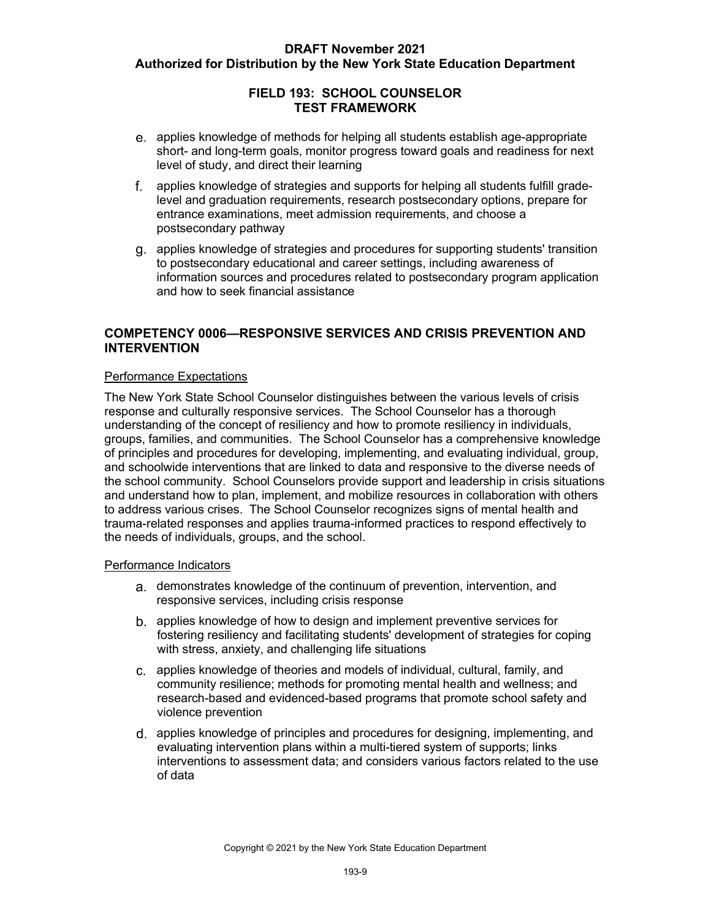## **FIELD 193: SCHOOL COUNSELOR TEST FRAMEWORK**

- short- and long-term goals, monitor progress toward goals and readiness for next level of study, and direct their learning applies knowledge of methods for helping all students establish age-appropriate
- level and graduation requirements, research postsecondary options, prepare for entrance examinations, meet admission requirements, and choose a postsecondary pathway applies knowledge of strategies and supports for helping all students fulfill grade-
- to postsecondary educational and career settings, including awareness of applies knowledge of strategies and procedures for supporting students' transition information sources and procedures related to postsecondary program application and how to seek financial assistance

## **COMPETENCY 0006—RESPONSIVE SERVICES AND CRISIS PREVENTION AND INTERVENTION**

#### Performance Expectations

 response and culturally responsive services. The School Counselor has a thorough understanding of the concept of resiliency and how to promote resiliency in individuals, of principles and procedures for developing, implementing, and evaluating individual, group, and schoolwide interventions that are linked to data and responsive to the diverse needs of the school community. School Counselors provide support and leadership in crisis situations and understand how to plan, implement, and mobilize resources in collaboration with others to address various crises. The School Counselor recognizes signs of mental health and The New York State School Counselor distinguishes between the various levels of crisis groups, families, and communities. The School Counselor has a comprehensive knowledge trauma-related responses and applies trauma-informed practices to respond effectively to the needs of individuals, groups, and the school.

- demonstrates knowledge of the continuum of prevention, intervention, and responsive services, including crisis response
- applies knowledge of how to design and implement preventive services for fostering resiliency and facilitating students' development of strategies for coping with stress, anxiety, and challenging life situations
- applies knowledge of theories and models of individual, cultural, family, and community resilience; methods for promoting mental health and wellness; and research-based and evidenced-based programs that promote school safety and violence prevention
- evaluating intervention plans within a multi-tiered system of supports; links interventions to assessment data; and considers various factors related to the use of data d. applies knowledge of principles and procedures for designing, implementing, and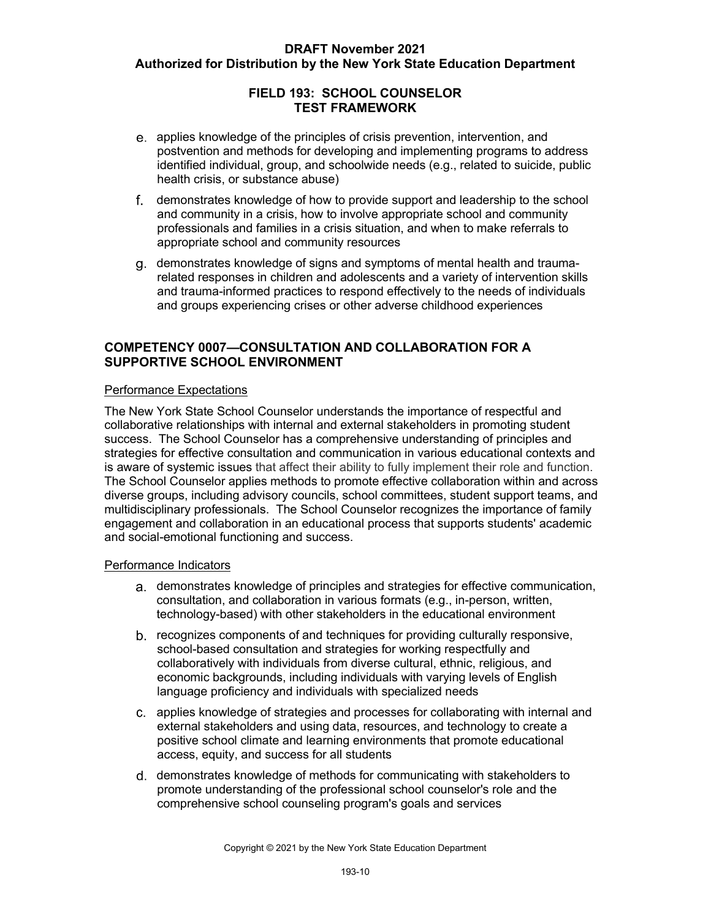## **FIELD 193: SCHOOL COUNSELOR TEST FRAMEWORK**

- identified individual, group, and schoolwide needs (e.g., related to suicide, public health crisis, or substance abuse) applies knowledge of the principles of crisis prevention, intervention, and postvention and methods for developing and implementing programs to address
- professionals and families in a crisis situation, and when to make referrals to demonstrates knowledge of how to provide support and leadership to the school and community in a crisis, how to involve appropriate school and community appropriate school and community resources
- related responses in children and adolescents and a variety of intervention skills demonstrates knowledge of signs and symptoms of mental health and traumaand trauma-informed practices to respond effectively to the needs of individuals and groups experiencing crises or other adverse childhood experiences

#### **COMPETENCY 0007—CONSULTATION AND COLLABORATION FOR A SUPPORTIVE SCHOOL ENVIRONMENT**

#### Performance Expectations

 collaborative relationships with internal and external stakeholders in promoting student success. The School Counselor has a comprehensive understanding of principles and is aware of systemic issues that affect their ability to fully implement their role and function. diverse groups, including advisory councils, school committees, student support teams, and multidisciplinary professionals. The School Counselor recognizes the importance of family engagement and collaboration in an educational process that supports students' academic The New York State School Counselor understands the importance of respectful and strategies for effective consultation and communication in various educational contexts and The School Counselor applies methods to promote effective collaboration within and across and social-emotional functioning and success.

- consultation, and collaboration in various formats (e.g., in-person, written, technology-based) with other stakeholders in the educational environment demonstrates knowledge of principles and strategies for effective communication,
- language proficiency and individuals with specialized needs b. recognizes components of and techniques for providing culturally responsive, school-based consultation and strategies for working respectfully and collaboratively with individuals from diverse cultural, ethnic, religious, and economic backgrounds, including individuals with varying levels of English
- external stakeholders and using data, resources, and technology to create a access, equity, and success for all students applies knowledge of strategies and processes for collaborating with internal and positive school climate and learning environments that promote educational
- demonstrates knowledge of methods for communicating with stakeholders to promote understanding of the professional school counselor's role and the comprehensive school counseling program's goals and services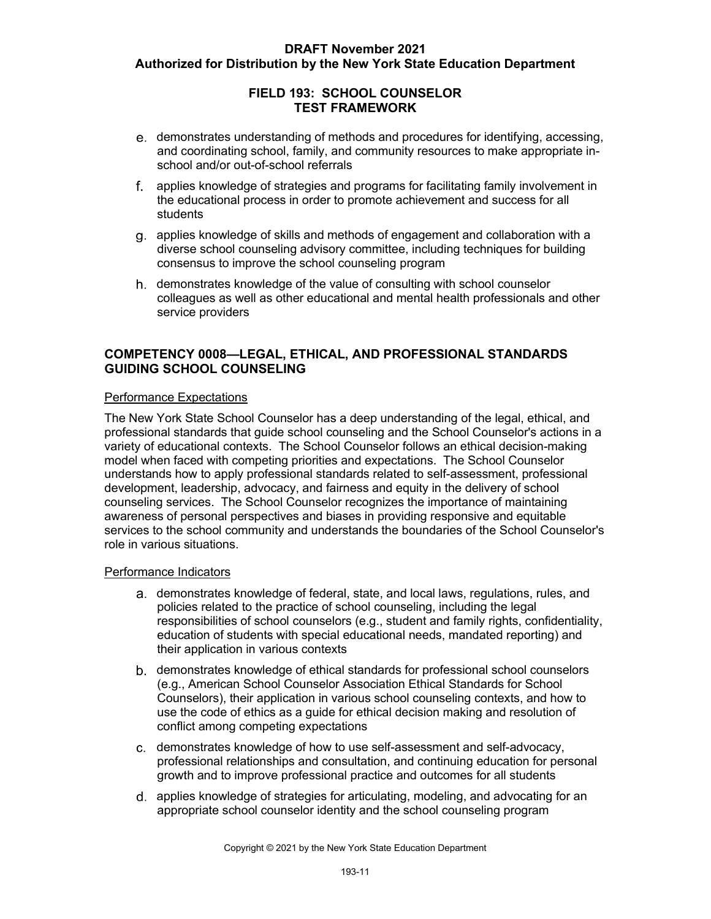## **FIELD 193: SCHOOL COUNSELOR TEST FRAMEWORK**

- and coordinating school, family, and community resources to make appropriate indemonstrates understanding of methods and procedures for identifying, accessing, school and/or out-of-school referrals
- the educational process in order to promote achievement and success for all applies knowledge of strategies and programs for facilitating family involvement in students
- diverse school counseling advisory committee, including techniques for building applies knowledge of skills and methods of engagement and collaboration with a consensus to improve the school counseling program
- colleagues as well as other educational and mental health professionals and other service providers demonstrates knowledge of the value of consulting with school counselor

## **COMPETENCY 0008—LEGAL, ETHICAL, AND PROFESSIONAL STANDARDS GUIDING SCHOOL COUNSELING**

#### Performance Expectations

 variety of educational contexts. The School Counselor follows an ethical decision-making model when faced with competing priorities and expectations. The School Counselor development, leadership, advocacy, and fairness and equity in the delivery of school counseling services. The School Counselor recognizes the importance of maintaining The New York State School Counselor has a deep understanding of the legal, ethical, and professional standards that guide school counseling and the School Counselor's actions in a understands how to apply professional standards related to self-assessment, professional awareness of personal perspectives and biases in providing responsive and equitable services to the school community and understands the boundaries of the School Counselor's role in various situations.

- demonstrates knowledge of federal, state, and local laws, regulations, rules, and responsibilities of school counselors (e.g., student and family rights, confidentiality, their application in various contexts policies related to the practice of school counseling, including the legal education of students with special educational needs, mandated reporting) and
- demonstrates knowledge of ethical standards for professional school counselors (e.g., American School Counselor Association Ethical Standards for School Counselors), their application in various school counseling contexts, and how to use the code of ethics as a guide for ethical decision making and resolution of conflict among competing expectations
- demonstrates knowledge of how to use self-assessment and self-advocacy, professional relationships and consultation, and continuing education for personal growth and to improve professional practice and outcomes for all students
- applies knowledge of strategies for articulating, modeling, and advocating for an appropriate school counselor identity and the school counseling program